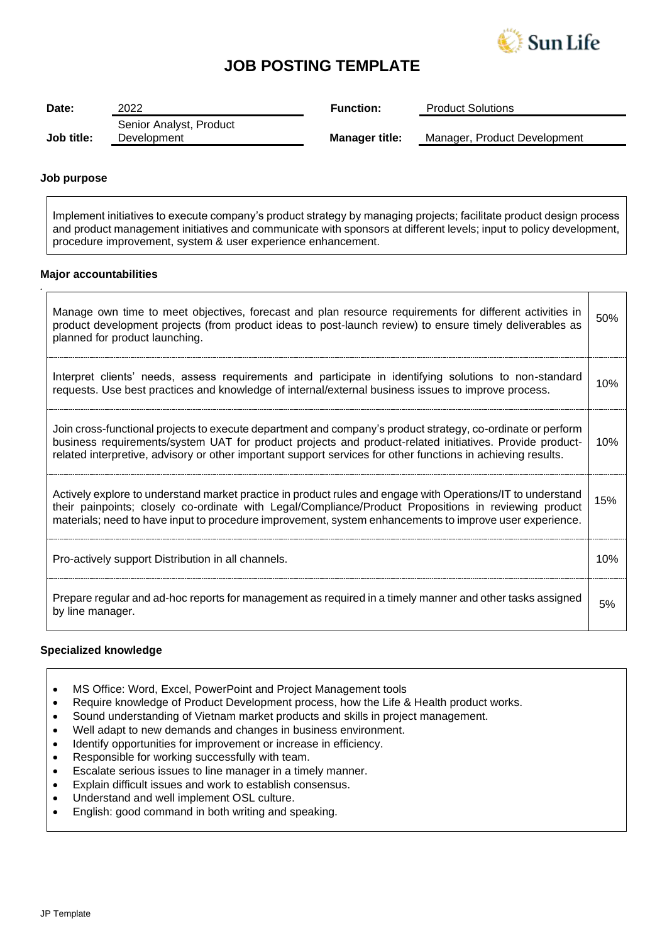

## **JOB POSTING TEMPLATE**

| Date:      | 2022                    | <b>Function:</b>      | <b>Product Solutions</b>     |
|------------|-------------------------|-----------------------|------------------------------|
|            | Senior Analyst, Product |                       |                              |
| Job title: | Development             | <b>Manager title:</b> | Manager, Product Development |

## **Job purpose**

*.*

Implement initiatives to execute company's product strategy by managing projects; facilitate product design process and product management initiatives and communicate with sponsors at different levels; input to policy development, procedure improvement, system & user experience enhancement.

### **Major accountabilities**

| Manage own time to meet objectives, forecast and plan resource requirements for different activities in<br>product development projects (from product ideas to post-launch review) to ensure timely deliverables as<br>planned for product launching.                                                                                  | 50% |
|----------------------------------------------------------------------------------------------------------------------------------------------------------------------------------------------------------------------------------------------------------------------------------------------------------------------------------------|-----|
| Interpret clients' needs, assess requirements and participate in identifying solutions to non-standard<br>requests. Use best practices and knowledge of internal/external business issues to improve process.                                                                                                                          | 10% |
| Join cross-functional projects to execute department and company's product strategy, co-ordinate or perform<br>business requirements/system UAT for product projects and product-related initiatives. Provide product-<br>related interpretive, advisory or other important support services for other functions in achieving results. | 10% |
| Actively explore to understand market practice in product rules and engage with Operations/IT to understand<br>their painpoints; closely co-ordinate with Legal/Compliance/Product Propositions in reviewing product<br>materials; need to have input to procedure improvement, system enhancements to improve user experience.        | 15% |
| Pro-actively support Distribution in all channels.                                                                                                                                                                                                                                                                                     | 10% |
| Prepare regular and ad-hoc reports for management as required in a timely manner and other tasks assigned<br>by line manager.                                                                                                                                                                                                          | 5%  |

## **Specialized knowledge**

- MS Office: Word, Excel, PowerPoint and Project Management tools
- Require knowledge of Product Development process, how the Life & Health product works.
- Sound understanding of Vietnam market products and skills in project management.
- Well adapt to new demands and changes in business environment.
- Identify opportunities for improvement or increase in efficiency.
- Responsible for working successfully with team.
- Escalate serious issues to line manager in a timely manner.
- Explain difficult issues and work to establish consensus.
- Understand and well implement OSL culture.
- English: good command in both writing and speaking.